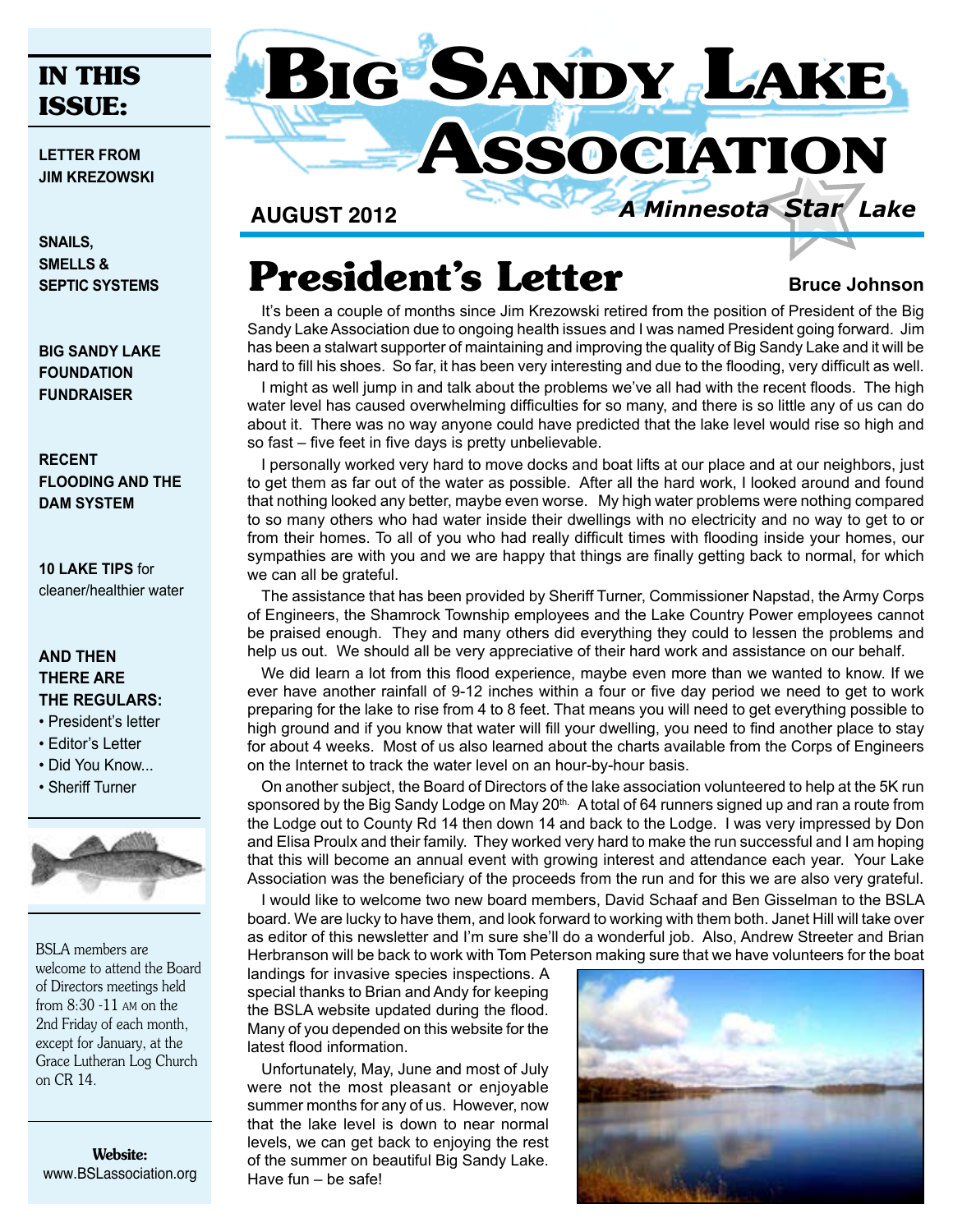#### **IN THIS ISSUE:**

**letter from Jim Krezowski**

**Snails, smells & Septic systems**

**Big Sandy Lake Foundation Fundraiser**

**Recent flooding and the Dam system** 

**10 LAKE TIPS** for cleaner/healthier water

#### **AND THEN THERE ARE THE REGULARS:**

- President's letter
- Editor's Letter
- Did You Know...
- Sheriff Turner



BSLA members are welcome to attend the Board of Directors meetings held from 8:30 -11 am on the 2nd Friday of each month, except for January, at the Grace Lutheran Log Church on CR 14.

Website: www.BSLassociation.org



**August 2012**

# **President's Letter** Bruce Johnson

It's been a couple of months since Jim Krezowski retired from the position of President of the Big Sandy Lake Association due to ongoing health issues and I was named President going forward. Jim has been a stalwart supporter of maintaining and improving the quality of Big Sandy Lake and it will be hard to fill his shoes. So far, it has been very interesting and due to the flooding, very difficult as well.

I might as well jump in and talk about the problems we've all had with the recent floods. The high water level has caused overwhelming difficulties for so many, and there is so little any of us can do about it. There was no way anyone could have predicted that the lake level would rise so high and so fast – five feet in five days is pretty unbelievable.

I personally worked very hard to move docks and boat lifts at our place and at our neighbors, just to get them as far out of the water as possible. After all the hard work, I looked around and found that nothing looked any better, maybe even worse. My high water problems were nothing compared to so many others who had water inside their dwellings with no electricity and no way to get to or from their homes. To all of you who had really difficult times with flooding inside your homes, our sympathies are with you and we are happy that things are finally getting back to normal, for which we can all be grateful.

The assistance that has been provided by Sheriff Turner, Commissioner Napstad, the Army Corps of Engineers, the Shamrock Township employees and the Lake Country Power employees cannot be praised enough. They and many others did everything they could to lessen the problems and help us out. We should all be very appreciative of their hard work and assistance on our behalf.

We did learn a lot from this flood experience, maybe even more than we wanted to know. If we ever have another rainfall of 9-12 inches within a four or five day period we need to get to work preparing for the lake to rise from 4 to 8 feet. That means you will need to get everything possible to high ground and if you know that water will fill your dwelling, you need to find another place to stay for about 4 weeks. Most of us also learned about the charts available from the Corps of Engineers on the Internet to track the water level on an hour-by-hour basis.

On another subject, the Board of Directors of the lake association volunteered to help at the 5K run sponsored by the Big Sandy Lodge on May 20<sup>th.</sup> A total of 64 runners signed up and ran a route from the Lodge out to County Rd 14 then down 14 and back to the Lodge. I was very impressed by Don and Elisa Proulx and their family. They worked very hard to make the run successful and I am hoping that this will become an annual event with growing interest and attendance each year. Your Lake Association was the beneficiary of the proceeds from the run and for this we are also very grateful.

I would like to welcome two new board members, David Schaaf and Ben Gisselman to the BSLA board. We are lucky to have them, and look forward to working with them both. Janet Hill will take over as editor of this newsletter and I'm sure she'll do a wonderful job. Also, Andrew Streeter and Brian Herbranson will be back to work with Tom Peterson making sure that we have volunteers for the boat

landings for invasive species inspections. A special thanks to Brian and Andy for keeping the BSLA website updated during the flood. Many of you depended on this website for the latest flood information.

Unfortunately, May, June and most of July were not the most pleasant or enjoyable summer months for any of us. However, now that the lake level is down to near normal levels, we can get back to enjoying the rest of the summer on beautiful Big Sandy Lake. Have fun – be safe!

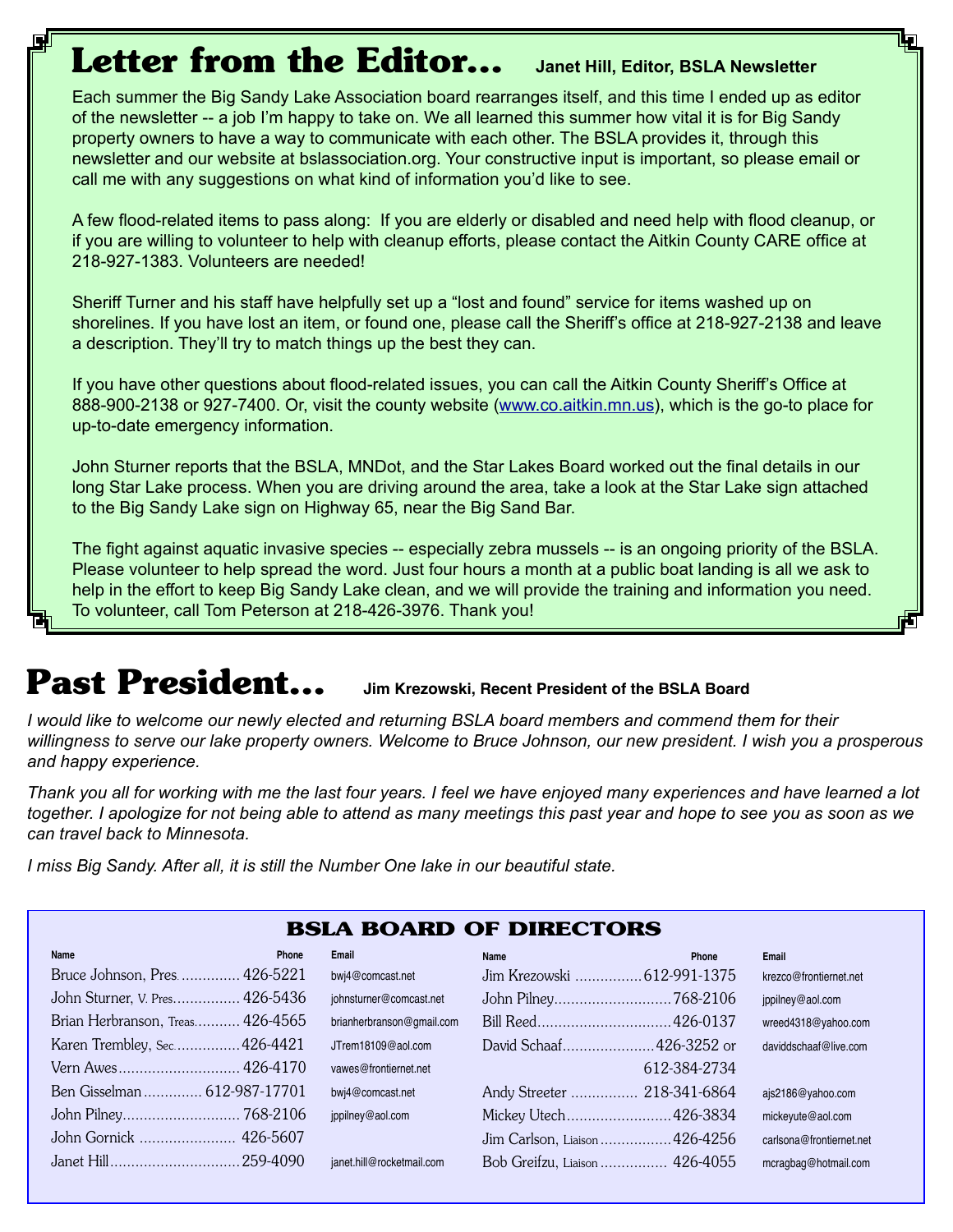## **Letter from the Editor... Janet Hill, Editor, BSLA Newsletter**

Each summer the Big Sandy Lake Association board rearranges itself, and this time I ended up as editor of the newsletter -- a job I'm happy to take on. We all learned this summer how vital it is for Big Sandy property owners to have a way to communicate with each other. The BSLA provides it, through this newsletter and our website at bslassociation.org. Your constructive input is important, so please email or call me with any suggestions on what kind of information you'd like to see.

A few flood-related items to pass along: If you are elderly or disabled and need help with flood cleanup, or if you are willing to volunteer to help with cleanup efforts, please contact the Aitkin County CARE office at 218-927-1383. Volunteers are needed!

Sheriff Turner and his staff have helpfully set up a "lost and found" service for items washed up on shorelines. If you have lost an item, or found one, please call the Sheriff's office at 218-927-2138 and leave a description. They'll try to match things up the best they can.

If you have other questions about flood-related issues, you can call the Aitkin County Sheriff's Office at 888-900-2138 or 927-7400. Or, visit the county website (www.co.aitkin.mn.us), which is the go-to place for up-to-date emergency information.

John Sturner reports that the BSLA, MNDot, and the Star Lakes Board worked out the final details in our long Star Lake process. When you are driving around the area, take a look at the Star Lake sign attached to the Big Sandy Lake sign on Highway 65, near the Big Sand Bar.

The fight against aquatic invasive species -- especially zebra mussels -- is an ongoing priority of the BSLA. Please volunteer to help spread the word. Just four hours a month at a public boat landing is all we ask to help in the effort to keep Big Sandy Lake clean, and we will provide the training and information you need. To volunteer, call Tom Peterson at 218-426-3976. Thank you!

## **Past President... Jim Krezowski, Recent President of the BSLA Board**

*I would like to welcome our newly elected and returning BSLA board members and commend them for their willingness to serve our lake property owners. Welcome to Bruce Johnson, our new president. I wish you a prosperous and happy experience.* 

*Thank you all for working with me the last four years. I feel we have enjoyed many experiences and have learned a lot together. I apologize for not being able to attend as many meetings this past year and hope to see you as soon as we can travel back to Minnesota.* 

*I miss Big Sandy. After all, it is still the Number One lake in our beautiful state.* 

| <b>BSLA BOARD OF DIRECTORS</b>   |                           |                                |              |                          |
|----------------------------------|---------------------------|--------------------------------|--------------|--------------------------|
| Name<br><b>Phone</b>             | Email                     | Name                           | Phone        | <b>Email</b>             |
| Bruce Johnson, Pres 426-5221     | bwj4@comcast.net          | Jim Krezowski 612-991-1375     |              | krezco@frontiernet.net   |
| John Sturner, V. Pres 426-5436   | johnsturner@comcast.net   |                                |              | jppilney@aol.com         |
| Brian Herbranson, Treas 426-4565 | brianherbranson@gmail.com |                                |              | wreed4318@yahoo.com      |
| Karen Trembley, Sec 426-4421     | JTrem18109@aol.com        | David Schaaf426-3252 or        |              | daviddschaaf@live.com    |
| Vern Awes 426-4170               | vawes@frontiernet.net     |                                | 612-384-2734 |                          |
| Ben Gisselman  612-987-17701     | bwi4@comcast.net          | Andy Streeter  218-341-6864    |              | ajs2186@yahoo.com        |
|                                  | ippilney@aol.com          | Mickey Utech 426-3834          |              | mickeyute@aol.com        |
| John Gornick  426-5607           |                           | Jim Carlson, Liaison  426-4256 |              | carlsona@frontiernet.net |
|                                  | ianet.hill@rocketmail.com | Bob Greifzu, Liaison  426-4055 |              | mcragbag@hotmail.com     |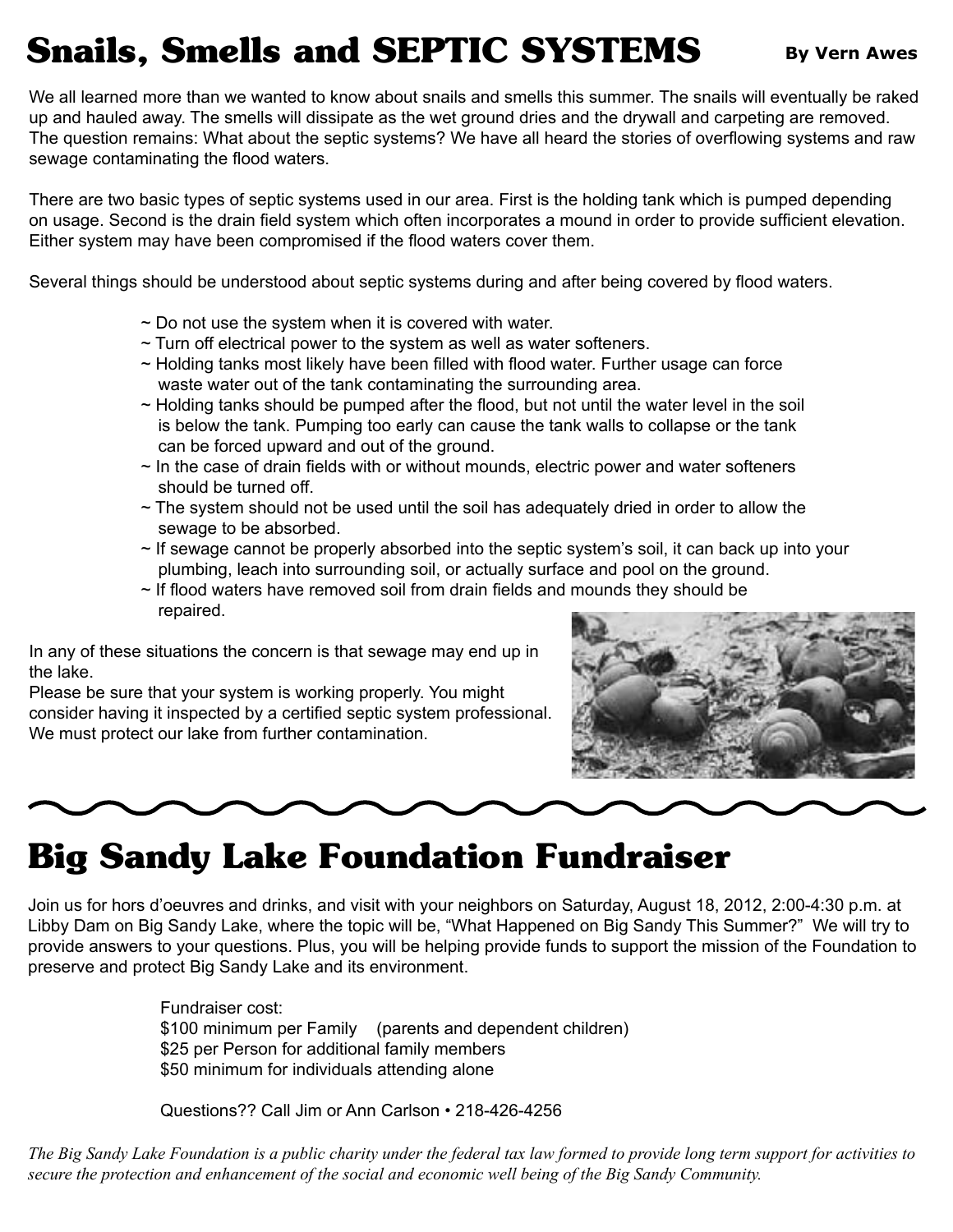# **Snails, Smells and SEPTIC SYSTEMS** By Vern Awes

We all learned more than we wanted to know about snails and smells this summer. The snails will eventually be raked up and hauled away. The smells will dissipate as the wet ground dries and the drywall and carpeting are removed. The question remains: What about the septic systems? We have all heard the stories of overflowing systems and raw sewage contaminating the flood waters.

There are two basic types of septic systems used in our area. First is the holding tank which is pumped depending on usage. Second is the drain field system which often incorporates a mound in order to provide sufficient elevation. Either system may have been compromised if the flood waters cover them.

Several things should be understood about septic systems during and after being covered by flood waters.

- $\sim$  Do not use the system when it is covered with water.
- $\sim$  Turn off electrical power to the system as well as water softeners.
- $\sim$  Holding tanks most likely have been filled with flood water. Further usage can force waste water out of the tank contaminating the surrounding area.
- $\sim$  Holding tanks should be pumped after the flood, but not until the water level in the soil is below the tank. Pumping too early can cause the tank walls to collapse or the tank can be forced upward and out of the ground.
- $\sim$  In the case of drain fields with or without mounds, electric power and water softeners should be turned off.
- $\sim$  The system should not be used until the soil has adequately dried in order to allow the sewage to be absorbed.
- $\sim$  If sewage cannot be properly absorbed into the septic system's soil, it can back up into your plumbing, leach into surrounding soil, or actually surface and pool on the ground.
- ~ If flood waters have removed soil from drain fields and mounds they should be repaired.

In any of these situations the concern is that sewage may end up in the lake.

Please be sure that your system is working properly. You might consider having it inspected by a certified septic system professional. We must protect our lake from further contamination.





## **Big Sandy Lake Foundation Fundraiser**

Join us for hors d'oeuvres and drinks, and visit with your neighbors on Saturday, August 18, 2012, 2:00-4:30 p.m. at Libby Dam on Big Sandy Lake, where the topic will be, "What Happened on Big Sandy This Summer?" We will try to provide answers to your questions. Plus, you will be helping provide funds to support the mission of the Foundation to preserve and protect Big Sandy Lake and its environment.

> Fundraiser cost: \$100 minimum per Family (parents and dependent children) \$25 per Person for additional family members \$50 minimum for individuals attending alone

Questions?? Call Jim or Ann Carlson • 218-426-4256

*The Big Sandy Lake Foundation is a public charity under the federal tax law formed to provide long term support for activities to secure the protection and enhancement of the social and economic well being of the Big Sandy Community.*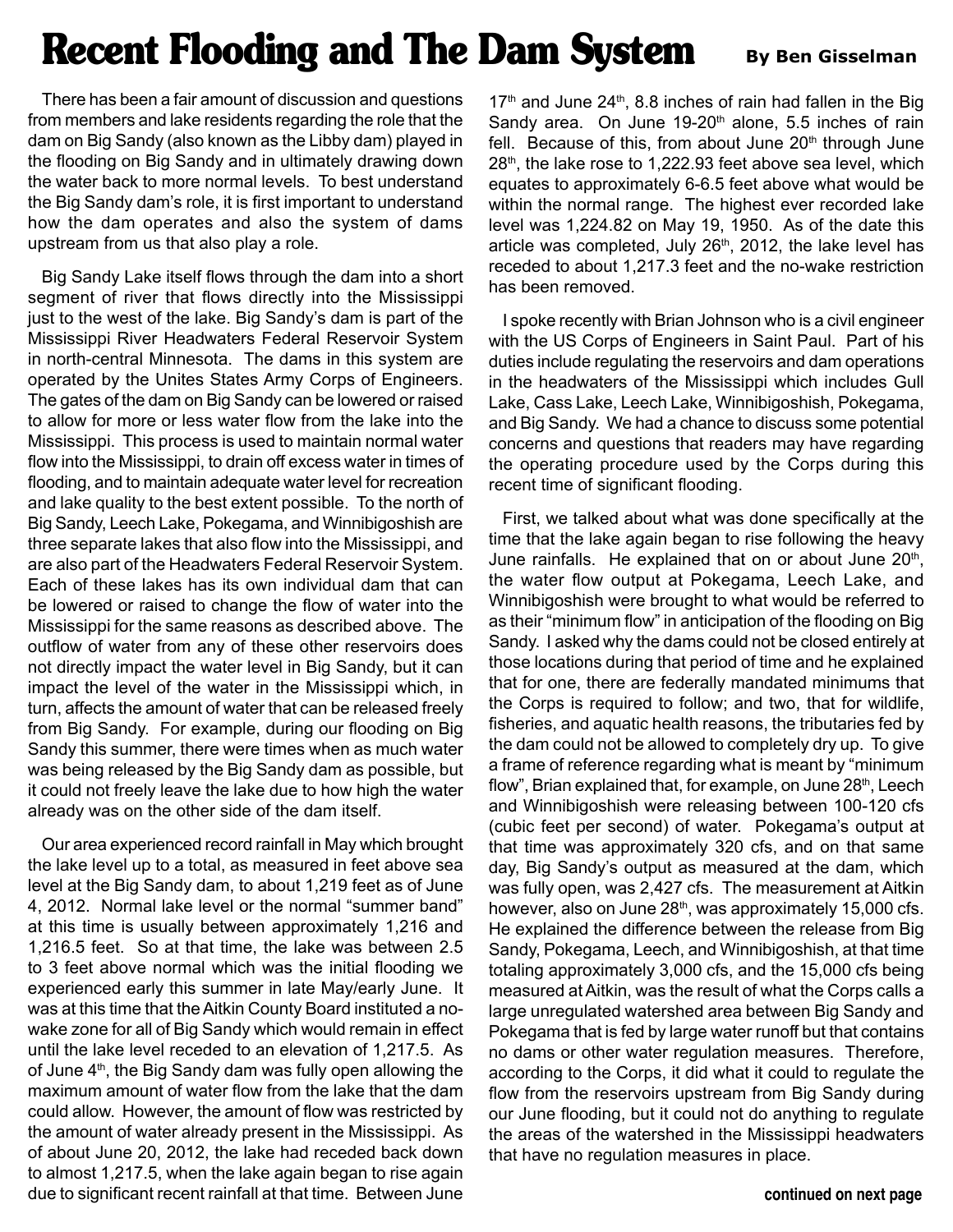# **Recent Flooding and The Dam System** By Ben Gisselman

There has been a fair amount of discussion and questions from members and lake residents regarding the role that the dam on Big Sandy (also known as the Libby dam) played in the flooding on Big Sandy and in ultimately drawing down the water back to more normal levels. To best understand the Big Sandy dam's role, it is first important to understand how the dam operates and also the system of dams upstream from us that also play a role.

Big Sandy Lake itself flows through the dam into a short segment of river that flows directly into the Mississippi just to the west of the lake. Big Sandy's dam is part of the Mississippi River Headwaters Federal Reservoir System in north-central Minnesota. The dams in this system are operated by the Unites States Army Corps of Engineers. The gates of the dam on Big Sandy can be lowered or raised to allow for more or less water flow from the lake into the Mississippi. This process is used to maintain normal water flow into the Mississippi, to drain off excess water in times of flooding, and to maintain adequate water level for recreation and lake quality to the best extent possible. To the north of Big Sandy, Leech Lake, Pokegama, and Winnibigoshish are three separate lakes that also flow into the Mississippi, and are also part of the Headwaters Federal Reservoir System. Each of these lakes has its own individual dam that can be lowered or raised to change the flow of water into the Mississippi for the same reasons as described above. The outflow of water from any of these other reservoirs does not directly impact the water level in Big Sandy, but it can impact the level of the water in the Mississippi which, in turn, affects the amount of water that can be released freely from Big Sandy. For example, during our flooding on Big Sandy this summer, there were times when as much water was being released by the Big Sandy dam as possible, but it could not freely leave the lake due to how high the water already was on the other side of the dam itself.

Our area experienced record rainfall in May which brought the lake level up to a total, as measured in feet above sea level at the Big Sandy dam, to about 1,219 feet as of June 4, 2012. Normal lake level or the normal "summer band" at this time is usually between approximately 1,216 and 1,216.5 feet. So at that time, the lake was between 2.5 to 3 feet above normal which was the initial flooding we experienced early this summer in late May/early June. It was at this time that the Aitkin County Board instituted a nowake zone for all of Big Sandy which would remain in effect until the lake level receded to an elevation of 1,217.5. As of June 4<sup>th</sup>, the Big Sandy dam was fully open allowing the maximum amount of water flow from the lake that the dam could allow. However, the amount of flow was restricted by the amount of water already present in the Mississippi. As of about June 20, 2012, the lake had receded back down to almost 1,217.5, when the lake again began to rise again due to significant recent rainfall at that time. Between June

 $17<sup>th</sup>$  and June  $24<sup>th</sup>$ , 8.8 inches of rain had fallen in the Big Sandy area. On June  $19-20<sup>th</sup>$  alone, 5.5 inches of rain fell. Because of this, from about June  $20<sup>th</sup>$  through June  $28<sup>th</sup>$ , the lake rose to 1,222.93 feet above sea level, which equates to approximately 6-6.5 feet above what would be within the normal range. The highest ever recorded lake level was 1,224.82 on May 19, 1950. As of the date this article was completed, July 26<sup>th</sup>, 2012, the lake level has receded to about 1,217.3 feet and the no-wake restriction has been removed.

I spoke recently with Brian Johnson who is a civil engineer with the US Corps of Engineers in Saint Paul. Part of his duties include regulating the reservoirs and dam operations in the headwaters of the Mississippi which includes Gull Lake, Cass Lake, Leech Lake, Winnibigoshish, Pokegama, and Big Sandy. We had a chance to discuss some potential concerns and questions that readers may have regarding the operating procedure used by the Corps during this recent time of significant flooding.

First, we talked about what was done specifically at the time that the lake again began to rise following the heavy June rainfalls. He explained that on or about June 20<sup>th</sup>, the water flow output at Pokegama, Leech Lake, and Winnibigoshish were brought to what would be referred to as their "minimum flow" in anticipation of the flooding on Big Sandy. I asked why the dams could not be closed entirely at those locations during that period of time and he explained that for one, there are federally mandated minimums that the Corps is required to follow; and two, that for wildlife, fisheries, and aquatic health reasons, the tributaries fed by the dam could not be allowed to completely dry up. To give a frame of reference regarding what is meant by "minimum flow", Brian explained that, for example, on June 28<sup>th</sup>, Leech and Winnibigoshish were releasing between 100-120 cfs (cubic feet per second) of water. Pokegama's output at that time was approximately 320 cfs, and on that same day, Big Sandy's output as measured at the dam, which was fully open, was 2,427 cfs. The measurement at Aitkin however, also on June 28<sup>th</sup>, was approximately 15,000 cfs. He explained the difference between the release from Big Sandy, Pokegama, Leech, and Winnibigoshish, at that time totaling approximately 3,000 cfs, and the 15,000 cfs being measured at Aitkin, was the result of what the Corps calls a large unregulated watershed area between Big Sandy and Pokegama that is fed by large water runoff but that contains no dams or other water regulation measures. Therefore, according to the Corps, it did what it could to regulate the flow from the reservoirs upstream from Big Sandy during our June flooding, but it could not do anything to regulate the areas of the watershed in the Mississippi headwaters that have no regulation measures in place.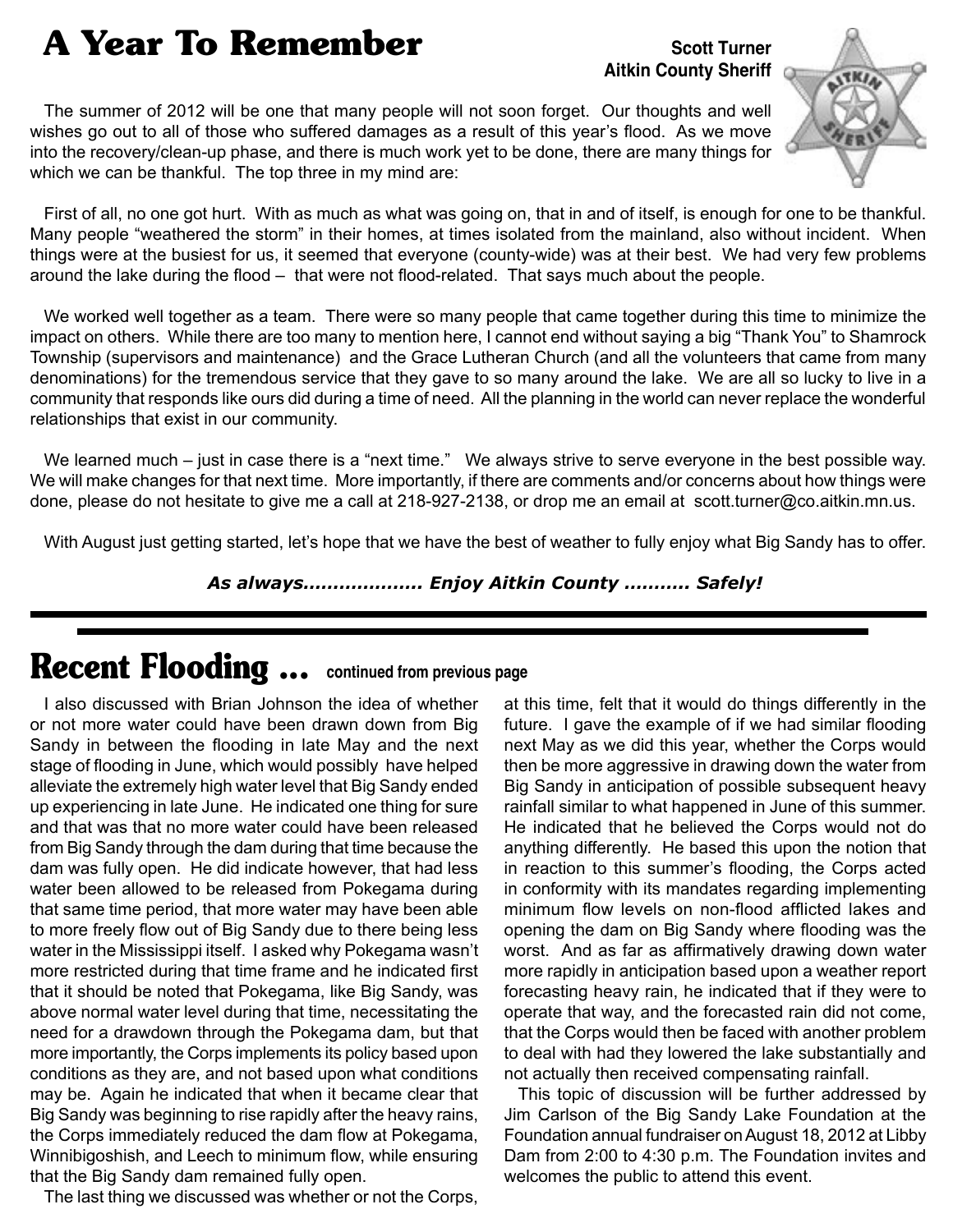## **A Year To Remember**

#### **Scott Turner Aitkin County Sheriff**

The summer of 2012 will be one that many people will not soon forget. Our thoughts and well wishes go out to all of those who suffered damages as a result of this year's flood. As we move into the recovery/clean-up phase, and there is much work yet to be done, there are many things for which we can be thankful. The top three in my mind are:



First of all, no one got hurt. With as much as what was going on, that in and of itself, is enough for one to be thankful. Many people "weathered the storm" in their homes, at times isolated from the mainland, also without incident. When things were at the busiest for us, it seemed that everyone (county-wide) was at their best. We had very few problems around the lake during the flood – that were not flood-related. That says much about the people.

We worked well together as a team. There were so many people that came together during this time to minimize the impact on others. While there are too many to mention here, I cannot end without saying a big "Thank You" to Shamrock Township (supervisors and maintenance) and the Grace Lutheran Church (and all the volunteers that came from many denominations) for the tremendous service that they gave to so many around the lake. We are all so lucky to live in a community that responds like ours did during a time of need. All the planning in the world can never replace the wonderful relationships that exist in our community.

We learned much – just in case there is a "next time." We always strive to serve everyone in the best possible way. We will make changes for that next time. More importantly, if there are comments and/or concerns about how things were done, please do not hesitate to give me a call at 218-927-2138, or drop me an email at [scott.turner@co.aitkin.mn.us.](mailto:scott.turner@co.aitkin.mn.us)

With August just getting started, let's hope that we have the best of weather to fully enjoy what Big Sandy has to offer.

*As always……………….. Enjoy Aitkin County ……….. Safely!*

### **Recent Flooding ... continued from previous page**

I also discussed with Brian Johnson the idea of whether or not more water could have been drawn down from Big Sandy in between the flooding in late May and the next stage of flooding in June, which would possibly have helped alleviate the extremely high water level that Big Sandy ended up experiencing in late June. He indicated one thing for sure and that was that no more water could have been released from Big Sandy through the dam during that time because the dam was fully open. He did indicate however, that had less water been allowed to be released from Pokegama during that same time period, that more water may have been able to more freely flow out of Big Sandy due to there being less water in the Mississippi itself. I asked why Pokegama wasn't more restricted during that time frame and he indicated first that it should be noted that Pokegama, like Big Sandy, was above normal water level during that time, necessitating the need for a drawdown through the Pokegama dam, but that more importantly, the Corps implements its policy based upon conditions as they are, and not based upon what conditions may be. Again he indicated that when it became clear that Big Sandy was beginning to rise rapidly after the heavy rains, the Corps immediately reduced the dam flow at Pokegama, Winnibigoshish, and Leech to minimum flow, while ensuring that the Big Sandy dam remained fully open.

The last thing we discussed was whether or not the Corps,

at this time, felt that it would do things differently in the future. I gave the example of if we had similar flooding next May as we did this year, whether the Corps would then be more aggressive in drawing down the water from Big Sandy in anticipation of possible subsequent heavy rainfall similar to what happened in June of this summer. He indicated that he believed the Corps would not do anything differently. He based this upon the notion that in reaction to this summer's flooding, the Corps acted in conformity with its mandates regarding implementing minimum flow levels on non-flood afflicted lakes and opening the dam on Big Sandy where flooding was the worst. And as far as affirmatively drawing down water more rapidly in anticipation based upon a weather report forecasting heavy rain, he indicated that if they were to operate that way, and the forecasted rain did not come, that the Corps would then be faced with another problem to deal with had they lowered the lake substantially and not actually then received compensating rainfall.

This topic of discussion will be further addressed by Jim Carlson of the Big Sandy Lake Foundation at the Foundation annual fundraiser on August 18, 2012 at Libby Dam from 2:00 to 4:30 p.m. The Foundation invites and welcomes the public to attend this event.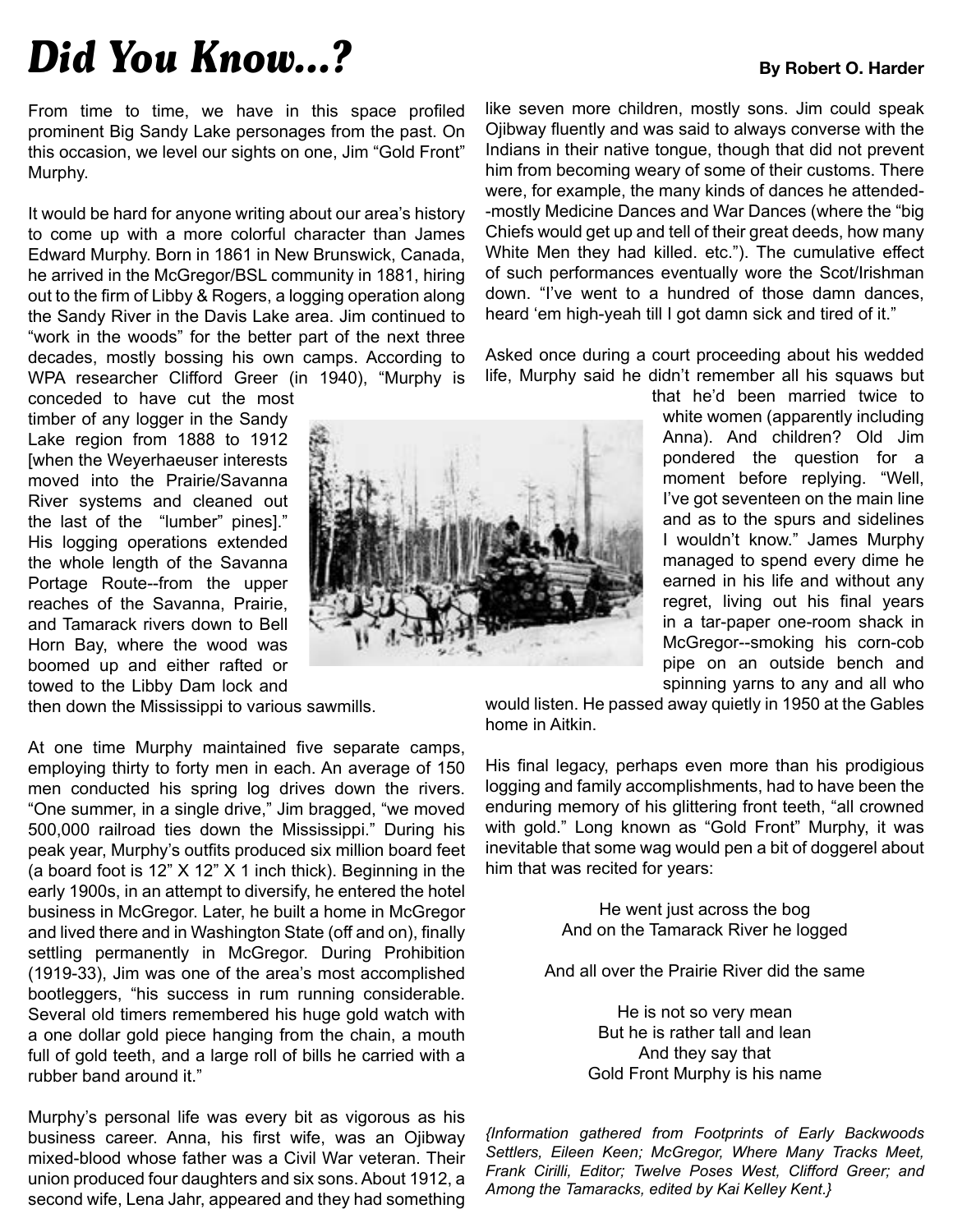# *Did You Know...?* By Robert O. Harder

From time to time, we have in this space profiled prominent Big Sandy Lake personages from the past. On this occasion, we level our sights on one, Jim "Gold Front" Murphy.

It would be hard for anyone writing about our area's history to come up with a more colorful character than James Edward Murphy. Born in 1861 in New Brunswick, Canada, he arrived in the McGregor/BSL community in 1881, hiring out to the firm of Libby & Rogers, a logging operation along the Sandy River in the Davis Lake area. Jim continued to "work in the woods" for the better part of the next three decades, mostly bossing his own camps. According to WPA researcher Clifford Greer (in 1940), "Murphy is

conceded to have cut the most timber of any logger in the Sandy Lake region from 1888 to 1912 [when the Weyerhaeuser interests moved into the Prairie/Savanna River systems and cleaned out the last of the "lumber" pines]." His logging operations extended the whole length of the Savanna Portage Route--from the upper reaches of the Savanna, Prairie, and Tamarack rivers down to Bell Horn Bay, where the wood was boomed up and either rafted or towed to the Libby Dam lock and

then down the Mississippi to various sawmills.

At one time Murphy maintained five separate camps, employing thirty to forty men in each. An average of 150 men conducted his spring log drives down the rivers. "One summer, in a single drive," Jim bragged, "we moved 500,000 railroad ties down the Mississippi." During his peak year, Murphy's outfits produced six million board feet (a board foot is 12" X 12" X 1 inch thick). Beginning in the early 1900s, in an attempt to diversify, he entered the hotel business in McGregor. Later, he built a home in McGregor and lived there and in Washington State (off and on), finally settling permanently in McGregor. During Prohibition (1919-33), Jim was one of the area's most accomplished bootleggers, "his success in rum running considerable. Several old timers remembered his huge gold watch with a one dollar gold piece hanging from the chain, a mouth full of gold teeth, and a large roll of bills he carried with a rubber band around it."

Murphy's personal life was every bit as vigorous as his business career. Anna, his first wife, was an Ojibway mixed-blood whose father was a Civil War veteran. Their union produced four daughters and six sons. About 1912, a second wife, Lena Jahr, appeared and they had something



like seven more children, mostly sons. Jim could speak Ojibway fluently and was said to always converse with the Indians in their native tongue, though that did not prevent him from becoming weary of some of their customs. There were, for example, the many kinds of dances he attended- -mostly Medicine Dances and War Dances (where the "big Chiefs would get up and tell of their great deeds, how many White Men they had killed. etc."). The cumulative effect of such performances eventually wore the Scot/Irishman down. "I've went to a hundred of those damn dances, heard 'em high-yeah till I got damn sick and tired of it."

Asked once during a court proceeding about his wedded life, Murphy said he didn't remember all his squaws but

> that he'd been married twice to white women (apparently including Anna). And children? Old Jim pondered the question for a moment before replying. "Well, I've got seventeen on the main line and as to the spurs and sidelines I wouldn't know." James Murphy managed to spend every dime he earned in his life and without any regret, living out his final years in a tar-paper one-room shack in McGregor--smoking his corn-cob pipe on an outside bench and spinning yarns to any and all who

would listen. He passed away quietly in 1950 at the Gables home in Aitkin.

His final legacy, perhaps even more than his prodigious logging and family accomplishments, had to have been the enduring memory of his glittering front teeth, "all crowned with gold." Long known as "Gold Front" Murphy, it was inevitable that some wag would pen a bit of doggerel about him that was recited for years:

> He went just across the bog And on the Tamarack River he logged

And all over the Prairie River did the same

He is not so very mean But he is rather tall and lean And they say that Gold Front Murphy is his name

*{Information gathered from Footprints of Early Backwoods Settlers, Eileen Keen; McGregor, Where Many Tracks Meet, Frank Cirilli, Editor; Twelve Poses West, Clifford Greer; and Among the Tamaracks, edited by Kai Kelley Kent.}*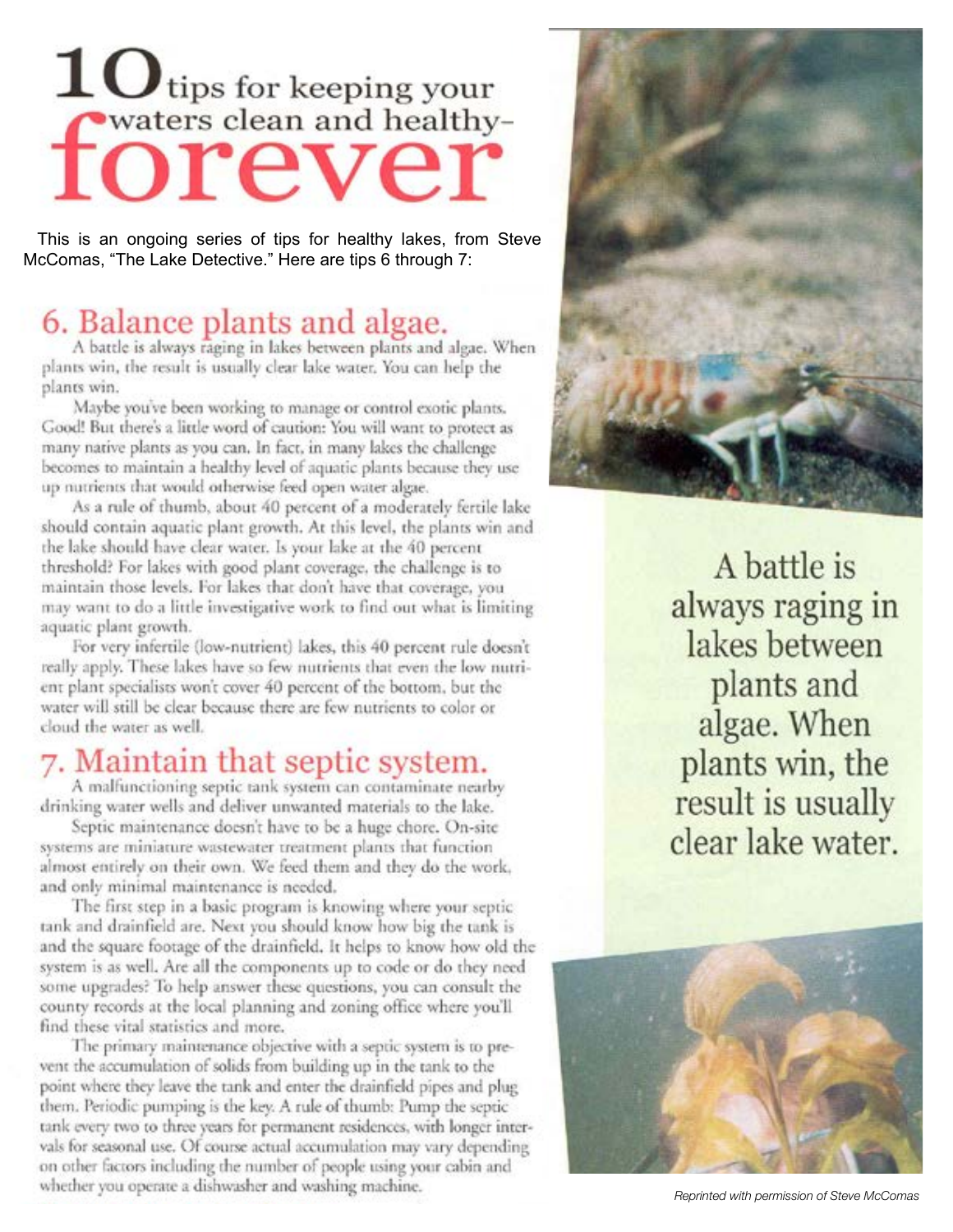# $\bf{10}$ tips for keeping your waters clean and healthyforeve

This is an ongoing series of tips for healthy lakes, from Steve McComas, "The Lake Detective." Here are tips 6 through 7:

#### 6. Balance plants and algae.

A battle is always raging in lakes between plants and algae. When plants win, the result is usually clear lake water. You can help the plants win.

Maybe you've been working to manage or control exotic plants. Good! But there's a little word of caution: You will want to protect as many native plants as you can. In fact, in many lakes the challenge becomes to maintain a healthy level of aquatic plants because they use up nutrients that would otherwise feed open water algae.

As a rule of thumb, about 40 percent of a moderately fertile lake should contain aquatic plant growth. At this level, the plants win and the lake should have clear water. Is your lake at the 40 percent threshold? For lakes with good plant coverage, the challenge is to maintain those levels. For lakes that don't have that coverage, you may want to do a little investigative work to find out what is limiting aquatic plant growth.

For very infertile (low-nutrient) lakes, this 40 percent rule doesn't really apply. These lakes have so few nutrients that even the low nutrient plant specialists won't cover 40 percent of the bottom, but the water will still be clear because there are few nutrients to color or cloud the water as well.

### 7. Maintain that septic system.

A malfunctioning septic tank system can contaminate nearby drinking water wells and deliver unwanted materials to the lake.

Septic maintenance doesn't have to be a huge chore. On-site systems are miniature wastewater treatment plants that function almost entirely on their own. We feed them and they do the work, and only minimal maintenance is needed.

The first step in a basic program is knowing where your septic tank and drainfield are. Next you should know how big the tank is and the square footage of the drainfield. It helps to know how old the system is as well. Are all the components up to code or do they need some upgrades? To help answer these questions, you can consult the county records at the local planning and zoning office where you'll find these vital statistics and more.

The primary maintenance objective with a septic system is to prevent the accumulation of solids from building up in the tank to the point where they leave the tank and enter the drainfield pipes and plug them. Periodic pumping is the key. A rule of thumb: Pump the septic tank every two to three years for permanent residences, with longer intervals for seasonal use. Of course actual accumulation may vary depending on other factors including the number of people using your cabin and whether you operate a dishwasher and washing machine.



A battle is always raging in lakes between plants and algae. When plants win, the result is usually clear lake water.



*Reprinted with permission of Steve McComas*